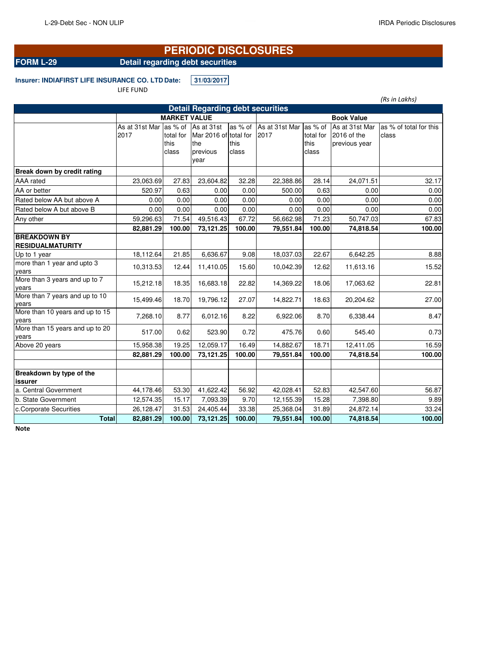# **PERIODIC DISCLOSURES**

**FORM L-29** Detail regarding debt securities

**Insurer: INDIAFIRST LIFE INSURANCE CO. LTD Date: 31/03/2017** LIFE FUND

|                                                |                        |                     |                                         | (Rs in Lakhs) |                |           |                   |                        |
|------------------------------------------------|------------------------|---------------------|-----------------------------------------|---------------|----------------|-----------|-------------------|------------------------|
|                                                |                        |                     | <b>Detail Regarding debt securities</b> |               |                |           |                   |                        |
|                                                |                        | <b>MARKET VALUE</b> |                                         |               |                |           | <b>Book Value</b> |                        |
|                                                | As at 31st Mar as % of |                     | As at 31st                              | as % of       | As at 31st Mar | as % of   | As at 31st Mar    | as % of total for this |
|                                                | 2017                   | total for           | Mar 2016 of total for                   |               | 2017           | total for | 2016 of the       | class                  |
|                                                |                        | this                | the                                     | this          |                | this      | previous year     |                        |
|                                                |                        | class               | previous<br>year                        | class         |                | class     |                   |                        |
|                                                |                        |                     |                                         |               |                |           |                   |                        |
| Break down by credit rating                    |                        |                     |                                         |               |                |           |                   |                        |
| <b>AAA</b> rated                               | 23,063.69              | 27.83               | 23,604.82                               | 32.28         | 22,388.86      | 28.14     | 24,071.51         | 32.17                  |
| AA or better                                   | 520.97                 | 0.63                | 0.00                                    | 0.00          | 500.00         | 0.63      | 0.00              | 0.00                   |
| Rated below AA but above A                     | 0.00                   | 0.00                | 0.00                                    | 0.00          | 0.00           | 0.00      | 0.00              | 0.00                   |
| Rated below A but above B                      | 0.00                   | 0.00                | 0.00                                    | 0.00          | 0.00           | 0.00      | 0.00              | 0.00                   |
| Any other                                      | 59,296.63              | 71.54               | 49,516.43                               | 67.72         | 56,662.98      | 71.23     | 50,747.03         | 67.83                  |
|                                                | 82,881.29              | 100.00              | 73,121.25                               | 100.00        | 79,551.84      | 100.00    | 74,818.54         | 100.00                 |
| <b>BREAKDOWN BY</b><br><b>RESIDUALMATURITY</b> |                        |                     |                                         |               |                |           |                   |                        |
| Up to 1 year                                   | 18,112.64              | 21.85               | 6,636.67                                | 9.08          | 18,037.03      | 22.67     | 6,642.25          | 8.88                   |
| more than 1 year and upto 3<br>years           | 10,313.53              | 12.44               | 11,410.05                               | 15.60         | 10,042.39      | 12.62     | 11,613.16         | 15.52                  |
| More than 3 years and up to 7<br>years         | 15,212.18              | 18.35               | 16,683.18                               | 22.82         | 14,369.22      | 18.06     | 17,063.62         | 22.81                  |
| More than 7 years and up to 10<br>years        | 15,499.46              | 18.70               | 19,796.12                               | 27.07         | 14,822.71      | 18.63     | 20,204.62         | 27.00                  |
| More than 10 years and up to 15<br>years       | 7,268.10               | 8.77                | 6,012.16                                | 8.22          | 6,922.06       | 8.70      | 6,338.44          | 8.47                   |
| More than 15 years and up to 20<br>years       | 517.00                 | 0.62                | 523.90                                  | 0.72          | 475.76         | 0.60      | 545.40            | 0.73                   |
| Above 20 years                                 | 15,958.38              | 19.25               | 12,059.17                               | 16.49         | 14,882.67      | 18.71     | 12,411.05         | 16.59                  |
|                                                | 82,881.29              | 100.00              | 73,121.25                               | 100.00        | 79,551.84      | 100.00    | 74,818.54         | 100.00                 |
| Breakdown by type of the<br>issurer            |                        |                     |                                         |               |                |           |                   |                        |
| a. Central Government                          | 44,178.46              | 53.30               | 41,622.42                               | 56.92         | 42,028.41      | 52.83     | 42,547.60         | 56.87                  |
| b. State Government                            | 12,574.35              | 15.17               | 7,093.39                                | 9.70          | 12,155.39      | 15.28     | 7,398.80          | 9.89                   |
| c.Corporate Securities                         | 26,128.47              | 31.53               | 24,405.44                               | 33.38         | 25,368.04      | 31.89     | 24,872.14         | 33.24                  |
| <b>Total</b>                                   | 82,881.29              | 100.00              | 73,121.25                               | 100.00        | 79,551.84      | 100.00    | 74,818.54         | 100.00                 |
| <b>Note</b>                                    |                        |                     |                                         |               |                |           |                   |                        |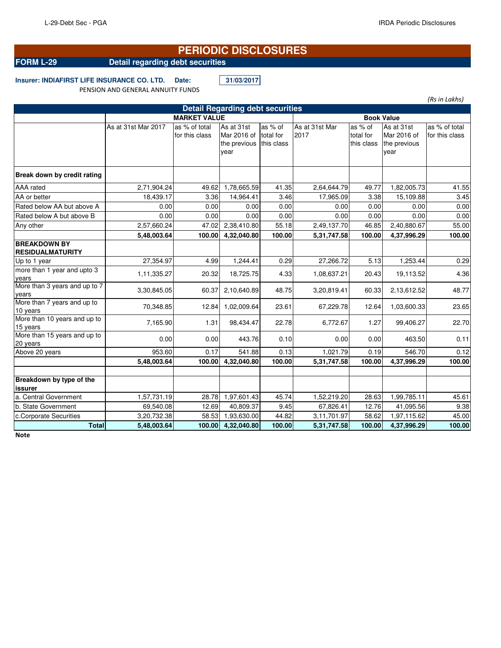*(Rs in Lakhs)*

# **PERIODIC DISCLOSURES**

## **FORM L-29 Detail regarding debt securities**

### **Insurer: INDIAFIRST LIFE INSURANCE CO. LTD. Date: 31/03/2017** PENSION AND GENERAL ANNUITY FUNDS

| <b>Detail Regarding debt securities</b>        |                     |                                 |                                                   |                                    |                        |                                    |                                                   |                                 |  |  |
|------------------------------------------------|---------------------|---------------------------------|---------------------------------------------------|------------------------------------|------------------------|------------------------------------|---------------------------------------------------|---------------------------------|--|--|
|                                                | <b>MARKET VALUE</b> | <b>Book Value</b>               |                                                   |                                    |                        |                                    |                                                   |                                 |  |  |
|                                                | As at 31st Mar 2017 | as % of total<br>for this class | As at 31st<br>Mar 2016 of<br>the previous<br>vear | as % of<br>total for<br>this class | As at 31st Mar<br>2017 | as % of<br>total for<br>this class | As at 31st<br>Mar 2016 of<br>the previous<br>year | as % of total<br>for this class |  |  |
| Break down by credit rating                    |                     |                                 |                                                   |                                    |                        |                                    |                                                   |                                 |  |  |
| AAA rated                                      | 2,71,904.24         | 49.62                           | 1,78,665.59                                       | 41.35                              | 2,64,644.79            | 49.77                              | 1,82,005.73                                       | 41.55                           |  |  |
| AA or better                                   | 18,439.17           | 3.36                            | 14,964.41                                         | 3.46                               | 17,965.09              | 3.38                               | 15,109.88                                         | 3.45                            |  |  |
| Rated below AA but above A                     | 0.00                | 0.00                            | 0.00                                              | 0.00                               | 0.00                   | 0.00                               | 0.00                                              | 0.00                            |  |  |
| Rated below A but above B                      | 0.00                | 0.00                            | 0.00                                              | 0.00                               | 0.00                   | 0.00                               | 0.00                                              | 0.00                            |  |  |
| Any other                                      | 2,57,660.24         | 47.02                           | 2,38,410.80                                       | 55.18                              | 2,49,137.70            | 46.85                              | 2,40,880.67                                       | 55.00                           |  |  |
|                                                | 5,48,003.64         | 100.00                          | 4,32,040.80                                       | 100.00                             | 5,31,747.58            | 100.00                             | 4,37,996.29                                       | 100.00                          |  |  |
| <b>BREAKDOWN BY</b><br><b>RESIDUALMATURITY</b> |                     |                                 |                                                   |                                    |                        |                                    |                                                   |                                 |  |  |
| Up to 1 year                                   | 27,354.97           | 4.99                            | 1,244.41                                          | 0.29                               | 27,266.72              | 5.13                               | 1,253.44                                          | 0.29                            |  |  |
| more than 1 year and upto 3<br>years           | 1,11,335.27         | 20.32                           | 18,725.75                                         | 4.33                               | 1,08,637.21            | 20.43                              | 19,113.52                                         | 4.36                            |  |  |
| More than 3 years and up to 7<br>years         | 3,30,845.05         | 60.37                           | 2,10,640.89                                       | 48.75                              | 3,20,819.41            | 60.33                              | 2,13,612.52                                       | 48.77                           |  |  |
| More than 7 years and up to<br>10 years        | 70,348.85           | 12.84                           | 1,02,009.64                                       | 23.61                              | 67,229.78              | 12.64                              | 1,03,600.33                                       | 23.65                           |  |  |
| More than 10 years and up to<br>15 years       | 7,165.90            | 1.31                            | 98,434.47                                         | 22.78                              | 6,772.67               | 1.27                               | 99,406.27                                         | 22.70                           |  |  |
| More than 15 years and up to<br>20 years       | 0.00                | 0.00                            | 443.76                                            | 0.10                               | 0.00                   | 0.00                               | 463.50                                            | 0.11                            |  |  |
| Above 20 years                                 | 953.60              | 0.17                            | 541.88                                            | 0.13                               | 1,021.79               | 0.19                               | 546.70                                            | 0.12                            |  |  |
|                                                | 5,48,003.64         | 100.00                          | 4,32,040.80                                       | 100.00                             | 5,31,747.58            | 100.00                             | 4,37,996.29                                       | 100.00                          |  |  |
|                                                |                     |                                 |                                                   |                                    |                        |                                    |                                                   |                                 |  |  |
| Breakdown by type of the<br>issurer            |                     |                                 |                                                   |                                    |                        |                                    |                                                   |                                 |  |  |
| a. Central Government                          | 1,57,731.19         | 28.78                           | 1,97,601.43                                       | 45.74                              | 1,52,219.20            | 28.63                              | 1,99,785.11                                       | 45.61                           |  |  |
| b. State Government                            | 69,540.08           | 12.69                           | 40,809.37                                         | 9.45                               | 67,826.41              | 12.76                              | 41,095.56                                         | 9.38                            |  |  |
| c.Corporate Securities                         | 3,20,732.38         | 58.53                           | 1,93,630.00                                       | 44.82                              | 3,11,701.97            | 58.62                              | 1,97,115.62                                       | 45.00                           |  |  |
| <b>Total</b>                                   | 5,48,003.64         | 100.00                          | 4,32,040.80                                       | 100.00                             | 5,31,747.58            | 100.00                             | 4,37,996.29                                       | 100.00                          |  |  |

**Note**